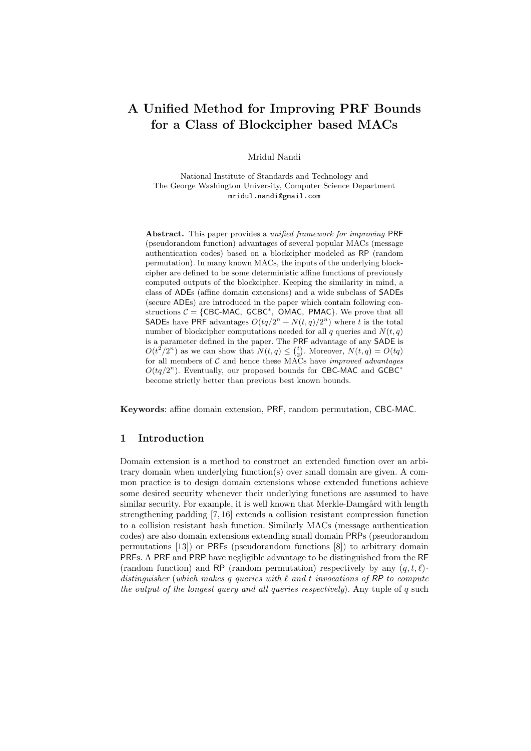# A Unified Method for Improving PRF Bounds for a Class of Blockcipher based MACs

Mridul Nandi

National Institute of Standards and Technology and The George Washington University, Computer Science Department mridul.nandi@gmail.com

Abstract. This paper provides a *unified framework for improving* PRF (pseudorandom function) advantages of several popular MACs (message authentication codes) based on a blockcipher modeled as RP (random permutation). In many known MACs, the inputs of the underlying blockcipher are defined to be some deterministic affine functions of previously computed outputs of the blockcipher. Keeping the similarity in mind, a class of ADEs (affine domain extensions) and a wide subclass of SADEs (secure ADEs) are introduced in the paper which contain following constructions  $C = \{CBC-MAC, GCBC^*, OMAC, PMAC\}$ . We prove that all SADEs have PRF advantages  $O(tq/2^n + N(t,q)/2^n)$  where t is the total number of blockcipher computations needed for all q queries and  $N(t, q)$ is a parameter defined in the paper. The PRF advantage of any SADE is  $O(t^2/2^n)$  as we can show that  $N(t,q) \leq {t \choose 2}$ . Moreover,  $N(t,q) = O(tq)$ for all members of  $C$  and hence these MACs have *improved advantages*  $O(tq/2^n)$ . Eventually, our proposed bounds for CBC-MAC and GCBC<sup>\*</sup> become strictly better than previous best known bounds.

Keywords: affine domain extension, PRF, random permutation, CBC-MAC.

#### 1 Introduction

Domain extension is a method to construct an extended function over an arbitrary domain when underlying function(s) over small domain are given. A common practice is to design domain extensions whose extended functions achieve some desired security whenever their underlying functions are assumed to have similar security. For example, it is well known that Merkle-Damgård with length strengthening padding [7, 16] extends a collision resistant compression function to a collision resistant hash function. Similarly MACs (message authentication codes) are also domain extensions extending small domain PRPs (pseudorandom permutations [13]) or PRFs (pseudorandom functions [8]) to arbitrary domain PRFs. A PRF and PRP have negligible advantage to be distinguished from the RF (random function) and RP (random permutation) respectively by any  $(q, t, \ell)$ distinguisher (which makes q queries with  $\ell$  and  $t$  invocations of RP to compute the output of the longest query and all queries respectively). Any tuple of q such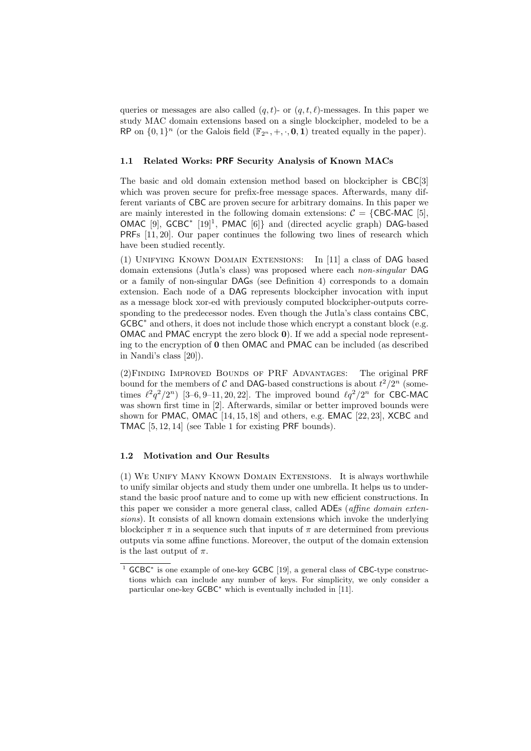queries or messages are also called  $(q, t)$ - or  $(q, t, \ell)$ -messages. In this paper we study MAC domain extensions based on a single blockcipher, modeled to be a RP on  $\{0,1\}^n$  (or the Galois field  $(\mathbb{F}_{2^n}, +, \cdot, 0, 1)$  treated equally in the paper).

### 1.1 Related Works: PRF Security Analysis of Known MACs

The basic and old domain extension method based on blockcipher is CBC[3] which was proven secure for prefix-free message spaces. Afterwards, many different variants of CBC are proven secure for arbitrary domains. In this paper we are mainly interested in the following domain extensions:  $C = \{CBC-MAC [5],$ OMAC [9], GCBC<sup>\*</sup> [19]<sup>1</sup>, PMAC [6]} and (directed acyclic graph) DAG-based PRFs [11, 20]. Our paper continues the following two lines of research which have been studied recently.

(1) Unifying Known Domain Extensions: In [11] a class of DAG based domain extensions (Jutla's class) was proposed where each non-singular DAG or a family of non-singular DAGs (see Definition 4) corresponds to a domain extension. Each node of a DAG represents blockcipher invocation with input as a message block xor-ed with previously computed blockcipher-outputs corresponding to the predecessor nodes. Even though the Jutla's class contains CBC, GCBC<sup>∗</sup> and others, it does not include those which encrypt a constant block (e.g. OMAC and PMAC encrypt the zero block 0). If we add a special node representing to the encryption of 0 then OMAC and PMAC can be included (as described in Nandi's class [20]).

(2)Finding Improved Bounds of PRF Advantages: The original PRF bound for the members of C and DAG-based constructions is about  $t^2/2^n$  (sometimes  $\ell^2 q^2/2^n$  [3–6, 9–11, 20, 22]. The improved bound  $\ell q^2/2^n$  for CBC-MAC was shown first time in [2]. Afterwards, similar or better improved bounds were shown for PMAC, OMAC  $[14, 15, 18]$  and others, e.g. EMAC  $[22, 23]$ , XCBC and TMAC [5, 12, 14] (see Table 1 for existing PRF bounds).

#### 1.2 Motivation and Our Results

(1) We Unify Many Known Domain Extensions. It is always worthwhile to unify similar objects and study them under one umbrella. It helps us to understand the basic proof nature and to come up with new efficient constructions. In this paper we consider a more general class, called ADEs (*affine domain exten*sions). It consists of all known domain extensions which invoke the underlying blockcipher  $\pi$  in a sequence such that inputs of  $\pi$  are determined from previous outputs via some affine functions. Moreover, the output of the domain extension is the last output of  $\pi$ .

<sup>1</sup> GCBC<sup>∗</sup> is one example of one-key GCBC [19], a general class of CBC-type constructions which can include any number of keys. For simplicity, we only consider a particular one-key GCBC<sup>∗</sup> which is eventually included in [11].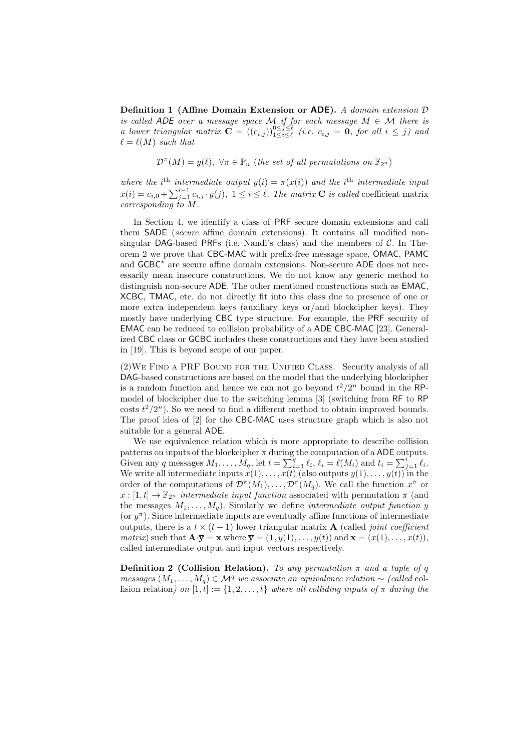Definition 1 (Affine Domain Extension or ADE). A domain extension  $D$ is called ADE over a message space M if for each message  $M \in \mathcal{M}$  there is a lower triangular matrix  $\mathbf{C} = ((c_{i,j}))_{1 \leq i \leq \ell}^{0 \leq j \leq \ell}$  (i.e.  $c_{i,j} = \mathbf{0}$ , for all  $i \leq j$ ) and  $\ell = \ell(M)$  such that

 $\mathcal{D}^{\pi}(M) = y(\ell), \ \forall \pi \in \mathbb{P}_n$  (the set of all permutations on  $\mathbb{F}_{2^n}$ )

where the i<sup>th</sup> intermediate output  $y(i) = \pi(x(i))$  and the i<sup>th</sup> intermediate input  $x(i) = c_{i,0} + \sum_{j=1}^{i-1} c_{i,j} \cdot y(j), \ 1 \leq i \leq \ell$ . The matrix **C** is called coefficient matrix  $corresponding to M.$ 

In Section 4, we identify a class of PRF secure domain extensions and call them SADE (secure affine domain extensions). It contains all modified nonsingular DAG-based PRFs (i.e. Nandi's class) and the members of  $C$ . In Theorem 2 we prove that CBC-MAC with prefix-free message space, OMAC, PAMC and GCBC<sup>∗</sup> are secure affine domain extensions. Non-secure ADE does not necessarily mean insecure constructions. We do not know any generic method to distinguish non-secure ADE. The other mentioned constructions such as EMAC, XCBC, TMAC, etc. do not directly fit into this class due to presence of one or more extra independent keys (auxiliary keys or/and blockcipher keys). They mostly have underlying CBC type structure. For example, the PRF security of EMAC can be reduced to collision probability of a ADE CBC-MAC [23]. Generalized CBC class or GCBC includes these constructions and they have been studied in [19]. This is beyond scope of our paper.

(2)We Find a PRF Bound for the Unified Class. Security analysis of all DAG-based constructions are based on the model that the underlying blockcipher is a random function and hence we can not go beyond  $t^2/2^n$  bound in the RPmodel of blockcipher due to the switching lemma [3] (switching from RF to RP costs  $t^2/2^n$ ). So we need to find a different method to obtain improved bounds. The proof idea of [2] for the CBC-MAC uses structure graph which is also not suitable for a general ADE.

We use equivalence relation which is more appropriate to describe collision patterns on inputs of the blockcipher  $\pi$  during the computation of a ADE outputs. Given any q messages  $M_1, \ldots, M_q$ , let  $t = \sum_{i=1}^q \ell_i$ ,  $\ell_i = \ell(M_i)$  and  $t_i = \sum_{j=1}^i \ell_i$ . We write all intermediate inputs  $x(1), \ldots, x(t)$  (also outputs  $y(1), \ldots, y(t)$ ) in the order of the computations of  $\mathcal{D}^{\pi}(M_1), \ldots, \mathcal{D}^{\pi}(M_q)$ . We call the function  $x^{\pi}$  or  $x : [1, t] \to \mathbb{F}_{2^n}$  intermediate input function associated with permutation  $\pi$  (and the messages  $M_1, \ldots, M_q$ ). Similarly we define *intermediate output function y* (or  $y^{\pi}$ ). Since intermediate inputs are eventually affine functions of intermediate outputs, there is a  $t \times (t+1)$  lower triangular matrix **A** (called *joint coefficient matrix*) such that  $\mathbf{A} \cdot \overline{\mathbf{y}} = \mathbf{x}$  where  $\overline{\mathbf{y}} = (1, y(1), \dots, y(t))$  and  $\mathbf{x} = (x(1), \dots, x(t))$ , called intermediate output and input vectors respectively.

**Definition 2 (Collision Relation).** To any permutation  $\pi$  and a tuple of q messages  $(M_1, ..., M_q)$  ∈  $\mathcal{M}^q$  we associate an equivalence relation  $\sim$  (called collision relation) on  $[1, t] := \{1, 2, ..., t\}$  where all colliding inputs of  $\pi$  during the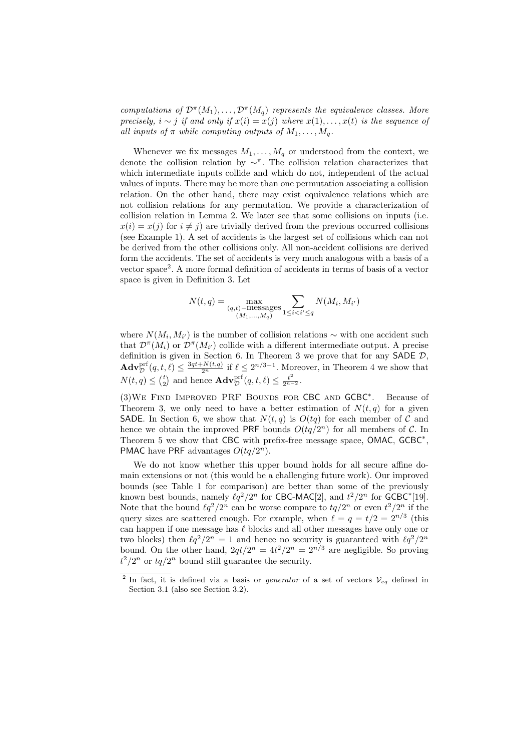computations of  $\mathcal{D}^{\pi}(M_1), \ldots, \mathcal{D}^{\pi}(M_q)$  represents the equivalence classes. More precisely,  $i \sim j$  if and only if  $x(i) = x(j)$  where  $x(1), \ldots, x(t)$  is the sequence of all inputs of  $\pi$  while computing outputs of  $M_1, \ldots, M_q$ .

Whenever we fix messages  $M_1, \ldots, M_q$  or understood from the context, we denote the collision relation by  $\sim^{\pi}$ . The collision relation characterizes that which intermediate inputs collide and which do not, independent of the actual values of inputs. There may be more than one permutation associating a collision relation. On the other hand, there may exist equivalence relations which are not collision relations for any permutation. We provide a characterization of collision relation in Lemma 2. We later see that some collisions on inputs (i.e.  $x(i) = x(j)$  for  $i \neq j$  are trivially derived from the previous occurred collisions (see Example 1). A set of accidents is the largest set of collisions which can not be derived from the other collisions only. All non-accident collisions are derived form the accidents. The set of accidents is very much analogous with a basis of a vector space<sup>2</sup> . A more formal definition of accidents in terms of basis of a vector space is given in Definition 3. Let

$$
N(t,q) = \max_{\substack{(q,t) - \text{messages} \\ (M_1, ..., M_q)}} \sum_{1 \le i < i' \le q} N(M_i, M_{i'})
$$

where  $N(M_i, M_{i'})$  is the number of collision relations  $\sim$  with one accident such that  $\mathcal{D}^{\pi}(M_i)$  or  $\mathcal{D}^{\pi}(M_{i'})$  collide with a different intermediate output. A precise definition is given in Section 6. In Theorem 3 we prove that for any SADE  $\mathcal{D}$ ,  $\mathbf{Adv}_{\mathcal{D}}^{\text{prf}}(q, t, \ell) \leq \frac{3qt + N(t,q)}{2^n}$  if  $\ell \leq 2^{n/3-1}$ . Moreover, in Theorem 4 we show that  $N(t,q) \leq {t \choose 2}$  and hence  $\mathbf{Adv}_{\mathcal{D}}^{\mathrm{prf}}(q,t,\ell) \leq \frac{t^2}{2^{n-2}}$ .

(3)We Find Improved PRF Bounds for CBC and GCBC<sup>∗</sup> . Because of Theorem 3, we only need to have a better estimation of  $N(t, q)$  for a given SADE. In Section 6, we show that  $N(t,q)$  is  $O(tq)$  for each member of C and hence we obtain the improved PRF bounds  $O(tq/2^n)$  for all members of C. In Theorem 5 we show that CBC with prefix-free message space, OMAC, GCBC<sup>\*</sup>, PMAC have PRF advantages  $O(tq/2^n)$ .

We do not know whether this upper bound holds for all secure affine domain extensions or not (this would be a challenging future work). Our improved bounds (see Table 1 for comparison) are better than some of the previously known best bounds, namely  $\ell q^2/2^n$  for CBC-MAC[2], and  $t^2/2^n$  for GCBC<sup>\*</sup>[19]. Note that the bound  $\ell q^2/2^n$  can be worse compare to  $tq/2^n$  or even  $t^2/2^n$  if the query sizes are scattered enough. For example, when  $\ell = q = t/2 = 2^{n/3}$  (this can happen if one message has  $\ell$  blocks and all other messages have only one or two blocks) then  $\ell q^2/2^n = 1$  and hence no security is guaranteed with  $\ell q^2/2^n$ bound. On the other hand,  $2qt/2^n = 4t^2/2^n = 2^{n/3}$  are negligible. So proving  $t^2/2^n$  or  $tq/2^n$  bound still guarantee the security.

<sup>&</sup>lt;sup>2</sup> In fact, it is defined via a basis or *generator* of a set of vectors  $V_{eq}$  defined in Section 3.1 (also see Section 3.2).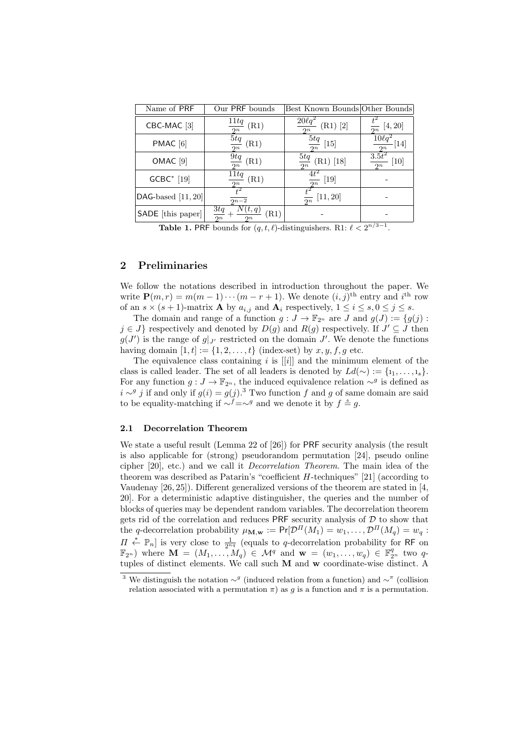| Name of PRF            | Our PRF bounds                              | Best Known Bounds Other Bounds      |                                 |
|------------------------|---------------------------------------------|-------------------------------------|---------------------------------|
| CBC-MAC <sup>[3]</sup> | 11tq<br>(R1)<br>2n                          | $20\ell q^2$<br>$[2]$<br>(R1)<br>2n | [4, 20]<br>$\overline{2^n}$     |
| PMAC <sup>[6]</sup>    | $\overline{5t}q$<br>(R1)<br>2n              | 5tq<br>$[15]$<br>$\overline{2n}$    | $10\ell q^2$<br>$[14]$<br>$2^n$ |
| OMAC <sup>[9]</sup>    | 9tq<br>(R1)<br>$\mathfrak{D}n$              | 5tq<br>$(R1)$ [18]<br>2n            | $3.5t^2$<br>[10]<br>2n          |
| <b>GCBC*</b> [19]      | 11tq<br>(R1)<br>2n                          | $4t^2$<br>$[19]$                    |                                 |
| DAG-based $[11, 20]$   | $\overline{2n-2}$                           | $rac{1}{2^n}$ [11, 20]              |                                 |
| SADE [this paper]      | 3tq<br>t, q<br>(R1)<br>$\frac{1}{2n}$<br>2n |                                     |                                 |

**Table 1.** PRF bounds for  $(q, t, \ell)$ -distinguishers. R1:  $\ell < 2^{n/3-1}$ .

### 2 Preliminaries

We follow the notations described in introduction throughout the paper. We write  $\mathbf{P}(m,r) = m(m-1)\cdots(m-r+1)$ . We denote  $(i, j)$ <sup>th</sup> entry and  $i$ <sup>th</sup> row of an  $s \times (s + 1)$ -matrix **A** by  $a_{i,j}$  and  $\mathbf{A}_i$  respectively,  $1 \leq i \leq s, 0 \leq j \leq s$ .

The domain and range of a function  $g: J \to \mathbb{F}_{2^n}$  are J and  $g(J) := \{g(j) :$  $j \in J$  respectively and denoted by  $D(g)$  and  $R(g)$  respectively. If  $J' \subseteq J$  then  $g(J')$  is the range of  $g|_{J'}$  restricted on the domain J'. We denote the functions having domain  $[1, t] := \{1, 2, \ldots, t\}$  (index-set) by  $x, y, f, g$  etc.

The equivalence class containing  $i$  is  $[[i]]$  and the minimum element of the class is called leader. The set of all leaders is denoted by  $Ld(\sim) := \{i_1, \ldots, i_s\}.$ For any function  $g: J \to \mathbb{F}_{2^n}$ , the induced equivalence relation ∼<sup>g</sup> is defined as  $i \sim g$  j if and only if  $g(i) = g(j)$ .<sup>3</sup> Two function f and g of same domain are said to be equality-matching if  $\sim^f=\sim^g$  and we denote it by  $f \triangleq g$ .

#### 2.1 Decorrelation Theorem

We state a useful result (Lemma 22 of [26]) for PRF security analysis (the result is also applicable for (strong) pseudorandom permutation [24], pseudo online cipher [20], etc.) and we call it Decorrelation Theorem. The main idea of the theorem was described as Patarin's "coefficient H-techniques" [21] (according to Vaudenay [26, 25]). Different generalized versions of the theorem are stated in [4, 20]. For a deterministic adaptive distinguisher, the queries and the number of blocks of queries may be dependent random variables. The decorrelation theorem gets rid of the correlation and reduces PRF security analysis of  $D$  to show that the q-decorrelation probability  $\mu_{\mathbf{M},\mathbf{w}} := \Pr[\mathcal{D}^{\Pi}(M_1) = w_1, \ldots, \mathcal{D}^{\Pi}(M_q) = w_q$ :  $\Pi \stackrel{*}{\leftarrow} \mathbb{P}_n$  is very close to  $\frac{1}{2^{nq}}$  (equals to q-decorrelation probability for RF on  $\mathbb{F}_{2^n}$ ) where  $\mathbf{M} = (M_1, \ldots, M_q) \in \mathcal{M}^q$  and  $\mathbf{w} = (w_1, \ldots, w_q) \in \mathbb{F}_{2^n}^q$  two qtuples of distinct elements. We call such M and w coordinate-wise distinct. A

<sup>&</sup>lt;sup>3</sup> We distinguish the notation  $\sim^g$  (induced relation from a function) and  $\sim^{\pi}$  (collision relation associated with a permutation  $\pi$ ) as g is a function and  $\pi$  is a permutation.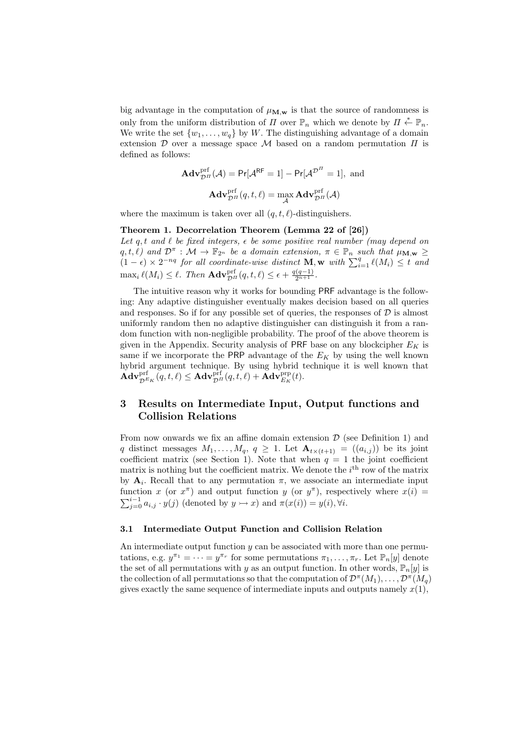big advantage in the computation of  $\mu_{\mathbf{M},\mathbf{w}}$  is that the source of randomness is only from the uniform distribution of  $\Pi$  over  $\mathbb{P}_n$  which we denote by  $\Pi \stackrel{*}{\leftarrow} \mathbb{P}_n$ . We write the set  $\{w_1, \ldots, w_n\}$  by W. The distinguishing advantage of a domain extension  $\mathcal D$  over a message space  $\mathcal M$  based on a random permutation  $\Pi$  is defined as follows:

$$
\mathbf{Adv}_{\mathcal{D}^{\Pi}}^{\text{prf}}(\mathcal{A}) = \text{Pr}[\mathcal{A}^{\text{RF}} = 1] - \text{Pr}[\mathcal{A}^{\mathcal{D}^{\Pi}} = 1], \text{ and}
$$

$$
\mathbf{Adv}_{\mathcal{D}^{\Pi}}^{\text{prf}}(q, t, \ell) = \max_{\mathcal{A}} \mathbf{Adv}_{\mathcal{D}^{\Pi}}^{\text{prf}}(\mathcal{A})
$$

where the maximum is taken over all  $(q, t, \ell)$ -distinguishers.

#### Theorem 1. Decorrelation Theorem (Lemma 22 of [26])

Let q, t and  $\ell$  be fixed integers,  $\epsilon$  be some positive real number (may depend on  $(q, t, \ell)$  and  $\mathcal{D}^{\pi} : \mathcal{M} \to \mathbb{F}_{2^n}$  be a domain extension,  $\pi \in \mathbb{P}_n$  such that  $\mu_{\mathbf{M}, \mathbf{w}} \geq$  $(1 - \epsilon) \times 2^{-nq}$  for all coordinate-wise distinct **M**, **w** with  $\sum_{i=1}^{q} \ell(M_i) \leq t$  and  $\max_i \ell(M_i) \leq \ell$ . Then  $\mathbf{Adv}_{\mathcal{D}^{\text{IT}}_{\mathcal{D}}}(q, t, \ell) \leq \epsilon + \frac{q(q-1)}{2^{n+1}}$ .

The intuitive reason why it works for bounding PRF advantage is the following: Any adaptive distinguisher eventually makes decision based on all queries and responses. So if for any possible set of queries, the responses of  $\mathcal D$  is almost uniformly random then no adaptive distinguisher can distinguish it from a random function with non-negligible probability. The proof of the above theorem is given in the Appendix. Security analysis of PRF base on any blockcipher  $E_K$  is same if we incorporate the PRP advantage of the  $E_K$  by using the well known hybrid argument technique. By using hybrid technique it is well known that  $\mathbf{Adv}_{\mathcal{D}^{E_{K}}}^{\mathrm{prf}}(q,t,\ell) \leq \mathbf{Adv}_{\mathcal{D}^{H}}^{\mathrm{prf}}(q,t,\ell) + \mathbf{Adv}_{E_{K}}^{\mathrm{prp}}(t).$ 

# 3 Results on Intermediate Input, Output functions and Collision Relations

From now onwards we fix an affine domain extension  $\mathcal D$  (see Definition 1) and q distinct messages  $M_1, \ldots, M_q, q \geq 1$ . Let  $\mathbf{A}_{t \times (t+1)} = ((a_{i,j}))$  be its joint coefficient matrix (see Section 1). Note that when  $q = 1$  the joint coefficient matrix is nothing but the coefficient matrix. We denote the  $i<sup>th</sup>$  row of the matrix by  $A_i$ . Recall that to any permutation  $\pi$ , we associate an intermediate input function x (or  $x^{\pi}$ ) and output function y (or  $y^{\pi}$ ), respectively where  $x(i)$  $\sum_{j=0}^{i-1} a_{i,j} \cdot y(j)$  (denoted by  $y \rightarrow x$ ) and  $\pi(x(i)) = y(i)$ ,  $\forall i$ .

#### 3.1 Intermediate Output Function and Collision Relation

An intermediate output function  $y$  can be associated with more than one permutations, e.g.  $y^{\pi_1} = \cdots = y^{\pi_r}$  for some permutations  $\pi_1, \ldots, \pi_r$ . Let  $\mathbb{P}_n[y]$  denote the set of all permutations with y as an output function. In other words,  $\mathbb{P}_n[y]$  is the collection of all permutations so that the computation of  $\mathcal{D}^{\pi}(M_1), \ldots, \mathcal{D}^{\pi}(M_q)$ gives exactly the same sequence of intermediate inputs and outputs namely  $x(1)$ ,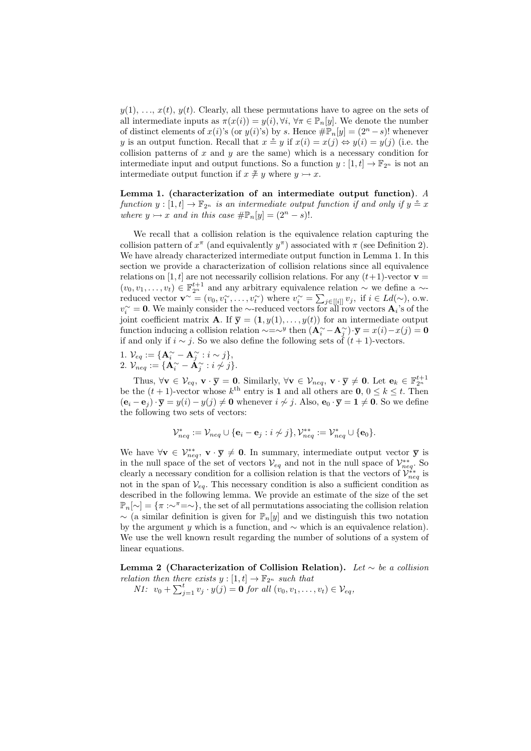$y(1), \ldots, x(t), y(t)$ . Clearly, all these permutations have to agree on the sets of all intermediate inputs as  $\pi(x(i)) = y(i), \forall i, \forall \pi \in \mathbb{P}_n[y]$ . We denote the number of distinct elements of  $x(i)$ 's (or  $y(i)$ 's) by s. Hence  $\#\mathbb{P}_n[y] = (2^n - s)!$  whenever y is an output function. Recall that  $x \triangleq y$  if  $x(i) = x(j) \Leftrightarrow y(i) = y(j)$  (i.e. the collision patterns of  $x$  and  $y$  are the same) which is a necessary condition for intermediate input and output functions. So a function  $y : [1, t] \to \mathbb{F}_{2^n}$  is not an intermediate output function if  $x \not\cong y$  where  $y \rightarrow x$ .

Lemma 1. (characterization of an intermediate output function). A function  $y : [1, t] \to \mathbb{F}_{2^n}$  is an intermediate output function if and only if  $y \triangleq x$ where  $y \rightarrow x$  and in this case  $\#\mathbb{P}_n[y] = (2^n - s)!$ .

We recall that a collision relation is the equivalence relation capturing the collision pattern of  $x^{\pi}$  (and equivalently  $y^{\pi}$ ) associated with  $\pi$  (see Definition 2). We have already characterized intermediate output function in Lemma 1. In this section we provide a characterization of collision relations since all equivalence relations on [1, t] are not necessarily collision relations. For any  $(t+1)$ -vector  $\mathbf{v} =$  $(v_0, v_1, \ldots, v_t) \in \mathbb{F}_{2^n}^{t+1}$  and any arbitrary equivalence relation  $\sim$  we define a  $\sim$ reduced vector  $\mathbf{v}^{\sim} = (v_0, v_1^{\sim}, \dots, v_t^{\sim})$  where  $v_i^{\sim} = \sum_{j \in [[i]]} v_j$ , if  $i \in Ld(\sim)$ , o.w.  $v_i^{\sim} = 0$ . We mainly consider the ∼-reduced vectors for all row vectors  $\mathbf{A}_i$ 's of the joint coefficient matrix **A**. If  $\overline{y} = (1, y(1), \ldots, y(t))$  for an intermediate output function inducing a collision relation  $\sim = \sim^y$  then  $(\mathbf{A}^{\sim}_i - \mathbf{A}^{\sim}_j) \cdot \overline{\mathbf{y}} = x(i) - x(j) = \mathbf{0}$ if and only if  $i \sim j$ . So we also define the following sets of  $(t + 1)$ -vectors.

1.  $\mathcal{V}_{eq} := {\mathbf{A}_{i}^{\sim} - \mathbf{A}_{j}^{\sim} : i \sim j},$  $2.~\mathcal{V}_{neq}:=\{\mathbf{A}^{\sim}_{i}-\check{\mathbf{A}}^{\sim}_{j}: i\not\sim j\}.$ 

Thus,  $\forall \mathbf{v} \in \mathcal{V}_{eq}, \mathbf{v} \cdot \overline{\mathbf{y}} = \mathbf{0}$ . Similarly,  $\forall \mathbf{v} \in \mathcal{V}_{neq}, \mathbf{v} \cdot \overline{\mathbf{y}} \neq \mathbf{0}$ . Let  $\mathbf{e}_k \in \mathbb{F}_{2^n}^{t+1}$ <br>be the  $(t+1)$ -vector whose  $k^{\text{th}}$  entry is 1 and all others are  $\mathbf{0}, 0 \leq$  $(\mathbf{e}_i - \mathbf{e}_j) \cdot \overline{\mathbf{y}} = y(i) - y(j) \neq \mathbf{0}$  whenever  $i \nsim j$ . Also,  $\mathbf{e}_0 \cdot \overline{\mathbf{y}} = \mathbf{1} \neq \mathbf{0}$ . So we define the following two sets of vectors:

$$
\mathcal{V}_{neq}^* := \mathcal{V}_{neq} \cup \{ \mathbf{e}_i - \mathbf{e}_j : i \not\sim j \}, \mathcal{V}_{neq}^{**} := \mathcal{V}_{neq}^* \cup \{ \mathbf{e}_0 \}.
$$

We have  $\forall v \in \mathcal{V}_{neg}^{**}$ ,  $v \cdot \overline{y} \neq 0$ . In summary, intermediate output vector  $\overline{y}$  is in the null space of the set of vectors  $V_{eq}$  and not in the null space of  $\mathcal{V}_{neq}^{**}$ . So clearly a necessary condition for a collision relation is that the vectors of  $\mathcal{V}_{neg}^{**}$  is not in the span of  $V_{eq}$ . This necessary condition is also a sufficient condition as described in the following lemma. We provide an estimate of the size of the set  $\mathbb{P}_n[\sim] = {\pi : \sim \pi = \sim}$ , the set of all permutations associating the collision relation  $\sim$  (a similar definition is given for  $\mathbb{P}_n[y]$  and we distinguish this two notation by the argument y which is a function, and  $\sim$  which is an equivalence relation). We use the well known result regarding the number of solutions of a system of linear equations.

Lemma 2 (Characterization of Collision Relation). Let  $\sim$  be a collision relation then there exists  $y : [1, t] \to \mathbb{F}_{2^n}$  such that

*N1*:  $v_0 + \sum_{j=1}^t v_j \cdot y(j) = 0$  for all  $(v_0, v_1, \dots, v_t) \in V_{eq}$ ,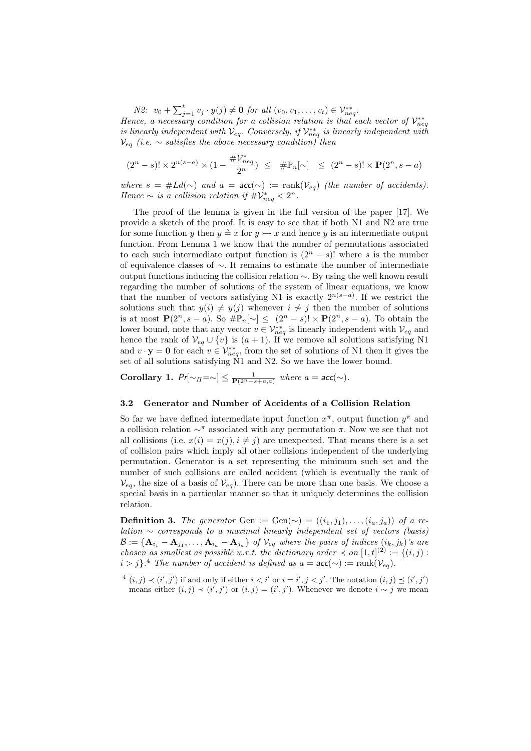*N2*:  $v_0 + \sum_{j=1}^t v_j \cdot y(j) \neq 0$  for all  $(v_0, v_1, \ldots, v_t) \in V_{neg}^{**}$ . Hence, a necessary condition for a collision relation is that each vector of  $\mathcal{V}_{neq}^{**}$ is linearly independent with  $\mathcal{V}_{eq}$ . Conversely, if  $\mathcal{V}_{neg}^{**}$  is linearly independent with  $V_{eq}$  (i.e.  $\sim$  satisfies the above necessary condition) then

$$
(2^n-s)! \times 2^{n(s-a)} \times (1-\frac{\# \mathcal{V}^*_{neq}}{2^n}) \leq \# \mathbb{P}_n[\sim] \leq (2^n-s)! \times \mathbf{P}(2^n,s-a)
$$

where  $s = #Ld(\sim)$  and  $a = acc(\sim) := rank(V_{eq})$  (the number of accidents). Hence  $\sim$  is a collision relation if  $\#\mathcal{V}_{neq}^* < 2^n$ .

The proof of the lemma is given in the full version of the paper [17]. We provide a sketch of the proof. It is easy to see that if both N1 and N2 are true for some function y then  $y \triangleq x$  for  $y \rightarrow x$  and hence y is an intermediate output function. From Lemma 1 we know that the number of permutations associated to each such intermediate output function is  $(2^{n} - s)!$  where s is the number of equivalence classes of ∼. It remains to estimate the number of intermediate output functions inducing the collision relation ∼. By using the well known result regarding the number of solutions of the system of linear equations, we know that the number of vectors satisfying N1 is exactly  $2^{n(s-a)}$ . If we restrict the solutions such that  $y(i) \neq y(j)$  whenever  $i \nsim j$  then the number of solutions is at most  $\mathbf{P}(2^n, s - a)$ . So  $\#\mathbb{P}_n[\sim] \leq (2^n - s)! \times \mathbf{P}(2^n, s - a)$ . To obtain the lower bound, note that any vector  $v \in \mathcal{V}_{neq}^{**}$  is linearly independent with  $\mathcal{V}_{eq}$  and hence the rank of  $V_{eq} \cup \{v\}$  is  $(a + 1)$ . If we remove all solutions satisfying N1 and  $v \cdot y = 0$  for each  $v \in \mathcal{V}_{neg}^{**}$ , from the set of solutions of N1 then it gives the set of all solutions satisfying  $\dot{N}1$  and N2. So we have the lower bound.

Corollary 1.  $Pr[\sim_H = \sim] \leq \frac{1}{P(2^n - s + a, a)}$  where  $a = acc(\sim)$ .

#### 3.2 Generator and Number of Accidents of a Collision Relation

So far we have defined intermediate input function  $x^{\pi}$ , output function  $y^{\pi}$  and a collision relation  $\sim^{\pi}$  associated with any permutation π. Now we see that not all collisions (i.e.  $x(i) = x(i), i \neq i$ ) are unexpected. That means there is a set of collision pairs which imply all other collisions independent of the underlying permutation. Generator is a set representing the minimum such set and the number of such collisions are called accident (which is eventually the rank of  $V_{eq}$ , the size of a basis of  $V_{eq}$ ). There can be more than one basis. We choose a special basis in a particular manner so that it uniquely determines the collision relation.

**Definition 3.** The generator Gen := Gen( $\sim$ ) =  $((i_1, j_1), \ldots, (i_a, j_a))$  of a re*lation*  $∼$  corresponds to a maximal linearly independent set of vectors (basis)  $\mathcal{B}:=\{\mathbf{A}_{i_1}-\mathbf{A}_{j_1},\ldots,\mathbf{A}_{i_a}-\mathbf{A}_{j_a}\}$  of  $\mathcal{V}_{eq}$  where the pairs of indices  $(i_k,j_k)$ 's are chosen as smallest as possible w.r.t. the dictionary order  $\prec$  on  $[1,t]^{(2)} := \{(i,j) :$  $i > j$ .<sup>4</sup> The number of accident is defined as  $a = \textsf{acc}(\sim) := \text{rank}(\mathcal{V}_{eq})$ .

 $(1, j) \prec (i', j')$  if and only if either  $i < i'$  or  $i = i', j < j'$ . The notation  $(i, j) \preceq (i', j')$ means either  $(i, j) \prec (i', j')$  or  $(i, j) = (i', j')$ . Whenever we denote  $i \sim j$  we mean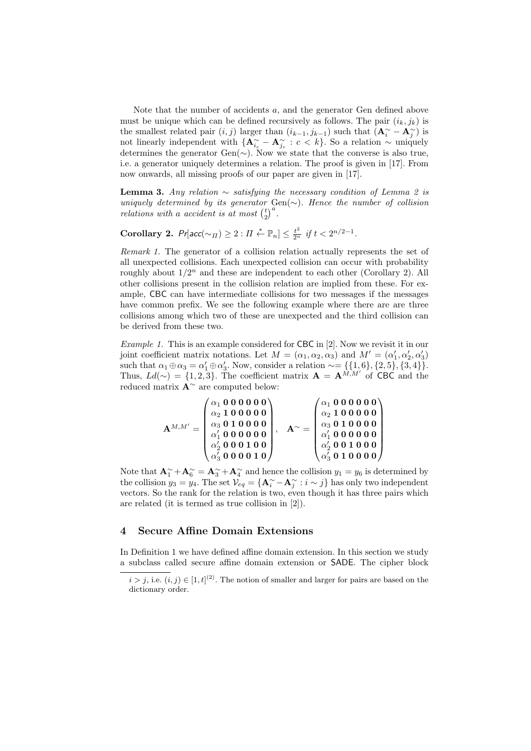Note that the number of accidents a, and the generator Gen defined above must be unique which can be defined recursively as follows. The pair  $(i_k, j_k)$  is the smallest related pair  $(i, j)$  larger than  $(i_{k-1}, j_{k-1})$  such that  $(\mathbf{A}_{i}^{\sim} - \mathbf{A}_{j}^{\sim})$  is not linearly independent with  ${ {\bf A}^{\sim}_{i_c} - {\bf A}^{\sim}_{j_c} : c < k }$ . So a relation  $\sim$  uniquely determines the generator Gen( $\sim$ ). Now we state that the converse is also true, i.e. a generator uniquely determines a relation. The proof is given in [17]. From now onwards, all missing proofs of our paper are given in [17].

**Lemma 3.** Any relation  $\sim$  satisfying the necessary condition of Lemma 2 is uniquely determined by its generator Gen( $\sim$ ). Hence the number of collision relations with a accident is at most  $\binom{t}{2}^a$ .

Corollary 2.  $Pr[acc(\sim_{\Pi}) \geq 2 : \Pi \stackrel{*}{\leftarrow} \mathbb{P}_n] \leq \frac{t^2}{2^n}$  if  $t < 2^{n/2-1}$ .

Remark 1. The generator of a collision relation actually represents the set of all unexpected collisions. Each unexpected collision can occur with probability roughly about  $1/2^n$  and these are independent to each other (Corollary 2). All other collisions present in the collision relation are implied from these. For example, CBC can have intermediate collisions for two messages if the messages have common prefix. We see the following example where there are are three collisions among which two of these are unexpected and the third collision can be derived from these two.

Example 1. This is an example considered for CBC in [2]. Now we revisit it in our joint coefficient matrix notations. Let  $M = (\alpha_1, \alpha_2, \alpha_3)$  and  $M' = (\alpha'_1, \alpha'_2, \alpha'_3)$ such that  $\alpha_1 \oplus \alpha_3 = \alpha'_1 \oplus \alpha'_3$ . Now, consider a relation  $\sim = \{\{1, 6\}, \{2, 5\}, \{3, 4\}\}.$ Thus,  $Ld(\sim) = \{1, 2, 3\}$ . The coefficient matrix  $\mathbf{A} = \mathbf{A}^{M,M'}$  of CBC and the reduced matrix A<sup>∼</sup> are computed below:

| $\mathbf{A}^{M,M'}$ | $^{'}\alpha_1^{}$ 0 0 0 0 0 0                                                                            |  | $^{'}\alpha_1$ 0 0 0 0 0 0 $\backslash$                                            |
|---------------------|----------------------------------------------------------------------------------------------------------|--|------------------------------------------------------------------------------------|
|                     | $\alpha_2$ 100000                                                                                        |  | $\alpha_2$ 100000                                                                  |
|                     | $\begin{array}{c} \alpha_3 \ 0 \ 1 \ 0 \ 0 \ 0 \ 0 \\ \alpha'_1 \ 0 \ 0 \ 0 \ 0 \ 0 \ 0 \ 0 \end{array}$ |  | $\alpha_3 \; 0 \; 1 \; 0 \; 0 \; 0 \; 0 \ \alpha'_1 \; 0 \; 0 \; 0 \; 0 \; 0 \; 0$ |
|                     |                                                                                                          |  |                                                                                    |
|                     | $\alpha'_2$ 0 0 0 1 0 0                                                                                  |  | $\alpha'_2$ 001000                                                                 |
|                     | $\alpha'_3$ 000010                                                                                       |  | $\alpha'_3$ 0 1 0 0 0 0 /                                                          |

Note that  $\mathbf{A}_{1}^{\sim} + \mathbf{A}_{6}^{\sim} = \mathbf{A}_{3}^{\sim} + \mathbf{A}_{4}^{\sim}$  and hence the collision  $y_{1} = y_{6}$  is determined by the collision  $y_3 = y_4$ . The set  $\mathcal{V}_{eq} = {\mathbf{A}_i^{\sim} - \mathbf{A}_j^{\sim} : i \sim j}$  has only two independent vectors. So the rank for the relation is two, even though it has three pairs which are related (it is termed as true collision in [2]).

### 4 Secure Affine Domain Extensions

In Definition 1 we have defined affine domain extension. In this section we study a subclass called secure affine domain extension or SADE. The cipher block

 $i > j$ , i.e.  $(i, j) \in [1, t]^{(2)}$ . The notion of smaller and larger for pairs are based on the dictionary order.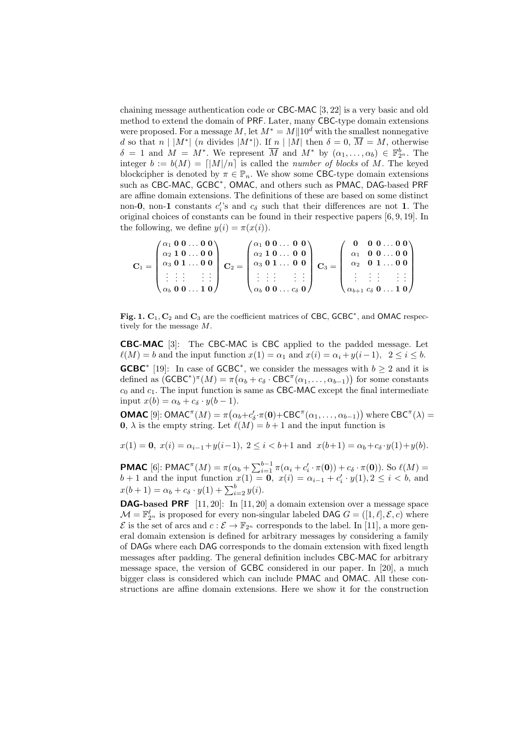chaining message authentication code or CBC-MAC [3, 22] is a very basic and old method to extend the domain of PRF. Later, many CBC-type domain extensions were proposed. For a message M, let  $M^* = M||10^d$  with the smallest nonnegative d so that  $n \mid |M^*|$  (*n* divides  $|M^*|$ ). If  $n \mid |M|$  then  $\delta = 0$ ,  $\overline{M} = M$ , otherwise  $\delta = 1$  and  $M = M^*$ . We represent  $\overline{M}$  and  $M^*$  by  $(\alpha_1, \ldots, \alpha_b) \in \mathbb{F}_{2^n}^b$ . The integer  $b := b(M) = \lfloor |M|/n \rfloor$  is called the *number of blocks* of M. The keyed blockcipher is denoted by  $\pi \in \mathbb{P}_n$ . We show some CBC-type domain extensions such as CBC-MAC, GCBC<sup>\*</sup>, OMAC, and others such as PMAC, DAG-based PRF are affine domain extensions. The definitions of these are based on some distinct non-0, non-1 constants  $c_i$ 's and  $c_\delta$  such that their differences are not 1. The original choices of constants can be found in their respective papers [6, 9, 19]. In the following, we define  $y(i) = \pi(x(i))$ .

$$
\mathbf{C}_1 = \begin{pmatrix} \alpha_1 & 0 & 0 & \dots & 0 & 0 \\ \alpha_2 & 1 & 0 & \dots & 0 & 0 \\ \alpha_3 & 0 & 1 & \dots & 0 & 0 \\ \vdots & \vdots & \vdots & & \vdots & \vdots \\ \alpha_b & 0 & 0 & \dots & 1 & 0 \end{pmatrix} \quad \mathbf{C}_2 = \begin{pmatrix} \alpha_1 & 0 & 0 & \dots & 0 & 0 \\ \alpha_2 & 1 & 0 & \dots & 0 & 0 \\ \alpha_3 & 0 & 1 & \dots & 0 & 0 \\ \vdots & \vdots & \vdots & & \vdots & \vdots \\ \alpha_b & 0 & 0 & \dots & c_\delta & 0 \end{pmatrix} \quad \mathbf{C}_3 = \begin{pmatrix} 0 & 0 & 0 & \dots & 0 & 0 \\ \alpha_1 & 0 & 0 & \dots & 0 & 0 \\ \alpha_2 & 0 & 1 & \dots & 0 & 0 \\ \vdots & \vdots & \vdots & & \vdots & \vdots \\ \alpha_{b+1} & c_\delta & 0 & \dots & 1 & 0 \end{pmatrix}
$$

Fig. 1.  $C_1$ ,  $C_2$  and  $C_3$  are the coefficient matrices of CBC, GCBC<sup>\*</sup>, and OMAC respectively for the message M.

CBC-MAC [3]: The CBC-MAC is CBC applied to the padded message. Let  $\ell(M) = b$  and the input function  $x(1) = \alpha_1$  and  $x(i) = \alpha_i + y(i-1), 2 \leq i \leq b$ . **GCBC**<sup>\*</sup> [19]: In case of GCBC<sup>\*</sup>, we consider the messages with  $b \ge 2$  and it is defined as  $(GCBC^*)^{\pi}(M) = \pi(\alpha_b + c_{\delta} \cdot CBC^{\pi}(\alpha_1, ..., \alpha_{b-1}))$  for some constants  $c_0$  and  $c_1$ . The input function is same as CBC-MAC except the final intermediate input  $x(b) = \alpha_b + c_\delta \cdot y(b-1)$ .

**OMAC** [9]: OMAC<sup> $\pi$ </sup>(*M*) =  $\pi(\alpha_b + c'_\delta \cdot \pi(\mathbf{0}) + \text{CBC}^{\pi}(\alpha_1, ..., \alpha_{b-1}))$  where CBC<sup> $\pi$ </sup>( $\lambda$ ) = **0**,  $\lambda$  is the empty string. Let  $\ell(M) = b + 1$  and the input function is

 $x(1) = 0$ ,  $x(i) = \alpha_{i-1} + y(i-1)$ ,  $2 \le i \le b+1$  and  $x(b+1) = \alpha_b + c_\delta \cdot y(1) + y(b)$ .

**PMAC** [6]: **PMAC**<sup> $\pi$ </sup>(*M*) =  $\pi$ ( $\alpha$ <sub>*b*</sub> +  $\sum_{i=1}^{b-1} \pi$ ( $\alpha$ <sub>*i*</sub> + *c*<sub>*i*</sub> ·  $\pi$ (**0**)) + *c<sub>δ</sub>* ·  $\pi$ (**0**)). So  $\ell$ (*M*) =  $b + 1$  and the input function  $x(1) = 0$ ,  $x(i) = \alpha_{i-1} + c'_i \cdot y(1), 2 \le i < b$ , and  $x(b+1) = \alpha_b + c_{\delta} \cdot y(1) + \sum_{i=2}^{b} y(i).$ 

**DAG-based PRF**  $[11, 20]$ : In  $[11, 20]$  a domain extension over a message space  $\mathcal{M} = \mathbb{F}_{2^n}^{\ell}$  is proposed for every non-singular labeled DAG  $G = ([1, \ell], \mathcal{E}, c)$  where  $\mathcal E$  is the set of arcs and  $c : \mathcal E \to \mathbb F_{2^n}$  corresponds to the label. In [11], a more general domain extension is defined for arbitrary messages by considering a family of DAGs where each DAG corresponds to the domain extension with fixed length messages after padding. The general definition includes CBC-MAC for arbitrary message space, the version of GCBC considered in our paper. In [20], a much bigger class is considered which can include PMAC and OMAC. All these constructions are affine domain extensions. Here we show it for the construction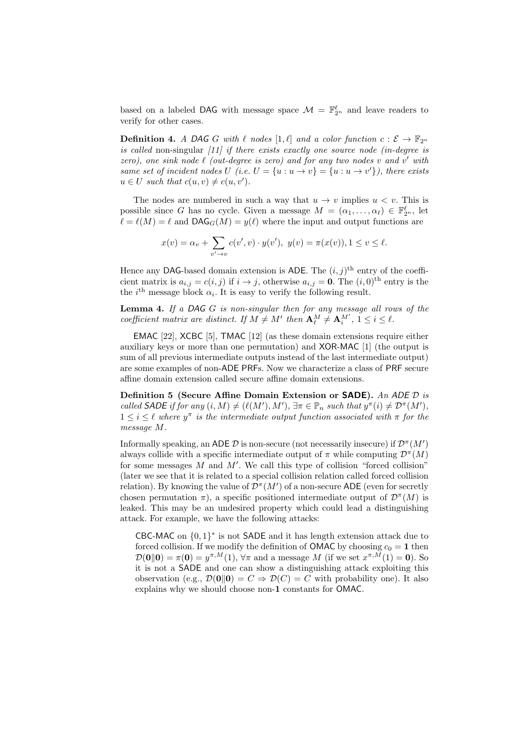based on a labeled DAG with message space  $\mathcal{M} = \mathbb{F}_{2^n}^{\ell}$  and leave readers to verify for other cases.

**Definition 4.** A DAG G with  $\ell$  nodes  $[1, \ell]$  and a color function  $c : \mathcal{E} \to \mathbb{F}_{2^n}$ is called non-singular  $\left(11\right)$  if there exists exactly one source node (in-degree is zero), one sink node  $\ell$  (out-degree is zero) and for any two nodes v and v' with same set of incident nodes U (i.e.  $U = \{u : u \to v\} = \{u : u \to v'\}$ ), there exists  $u \in U$  such that  $c(u, v) \neq c(u, v')$ .

The nodes are numbered in such a way that  $u \to v$  implies  $u < v$ . This is possible since G has no cycle. Given a message  $M = (\alpha_1, \dots, \alpha_\ell) \in \mathbb{F}_2^\ell$ , let  $\ell = \ell(M) = \ell$  and  $\text{DAG}_G(M) = y(\ell)$  where the input and output functions are

$$
x(v) = \alpha_v + \sum_{v' \to v} c(v', v) \cdot y(v'), \ y(v) = \pi(x(v)), 1 \le v \le \ell.
$$

Hence any DAG-based domain extension is ADE. The  $(i, j)$ <sup>th</sup> entry of the coefficient matrix is  $a_{i,j} = c(i,j)$  if  $i \to j$ , otherwise  $a_{i,j} = 0$ . The  $(i,0)$ <sup>th</sup> entry is the the *i*<sup>th</sup> message block  $\alpha_i$ . It is easy to verify the following result.

**Lemma 4.** If a DAG  $G$  is non-singular then for any message all rows of the coefficient matrix are distinct. If  $M \neq M'$  then  $\mathbf{A}_{\ell}^M \neq \mathbf{A}_{i}^{M'}$ ,  $1 \leq i \leq \ell$ .

EMAC [22], XCBC [5], TMAC [12] (as these domain extensions require either auxiliary keys or more than one permutation) and XOR-MAC [1] (the output is sum of all previous intermediate outputs instead of the last intermediate output) are some examples of non-ADE PRFs. Now we characterize a class of PRF secure affine domain extension called secure affine domain extensions.

Definition 5 (Secure Affine Domain Extension or SADE). An ADE  $D$  is called SADE if for any  $(i, M) \neq (\ell(M'), M')$ ,  $\exists \pi \in \mathbb{P}_n$  such that  $y^{\pi}(i) \neq \mathcal{D}^{\pi}(M')$ ,  $1 \leq i \leq \ell$  where  $y^{\pi}$  is the intermediate output function associated with  $\pi$  for the message M.

Informally speaking, an ADE  $D$  is non-secure (not necessarily insecure) if  $\mathcal{D}^{\pi}(M')$ always collide with a specific intermediate output of  $\pi$  while computing  $\mathcal{D}^{\pi}(M)$ for some messages  $M$  and  $M'$ . We call this type of collision "forced collision" (later we see that it is related to a special collision relation called forced collision relation). By knowing the value of  $\mathcal{D}^{\pi}(M')$  of a non-secure ADE (even for secretly chosen permutation  $\pi$ ), a specific positioned intermediate output of  $\mathcal{D}^{\pi}(M)$  is leaked. This may be an undesired property which could lead a distinguishing attack. For example, we have the following attacks:

CBC-MAC on  $\{0,1\}^*$  is not SADE and it has length extension attack due to forced collision. If we modify the definition of **OMAC** by choosing  $c_0 = 1$  then  $\mathcal{D}(\mathbf{0}||\mathbf{0}) = \pi(\mathbf{0}) = y^{\pi,M}(1), \forall \pi$  and a message M (if we set  $x^{\pi,M}(1) = \mathbf{0}$ ). So it is not a SADE and one can show a distinguishing attack exploiting this observation (e.g.,  $\mathcal{D}(\mathbf{0}||\mathbf{0}) = C \Rightarrow \mathcal{D}(C) = C$  with probability one). It also explains why we should choose non-1 constants for OMAC.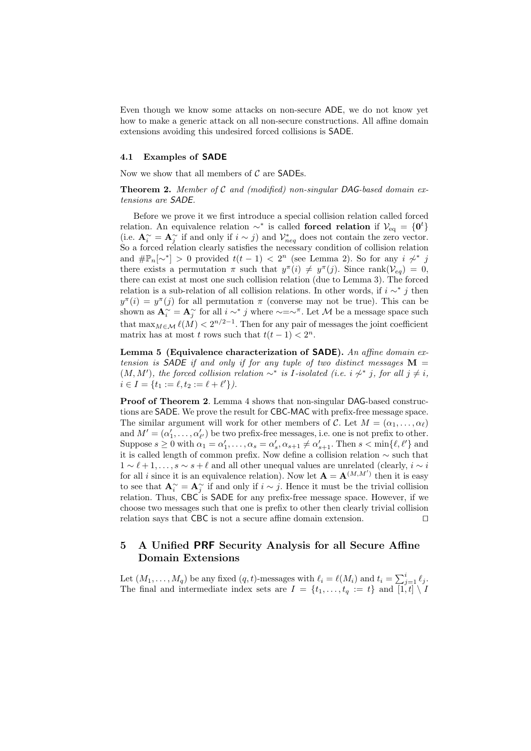Even though we know some attacks on non-secure ADE, we do not know yet how to make a generic attack on all non-secure constructions. All affine domain extensions avoiding this undesired forced collisions is SADE.

#### 4.1 Examples of SADE

Now we show that all members of  $C$  are SADEs.

**Theorem 2.** Member of  $C$  and (modified) non-singular DAG-based domain extensions are SADE.

Before we prove it we first introduce a special collision relation called forced relation. An equivalence relation  $\sim^*$  is called forced relation if  $\mathcal{V}_{eq} = \{0^t\}$ (i.e.  $\mathbf{A}_{i}^{\sim} = \mathbf{A}_{j}^{\sim}$  if and only if  $i \sim j$ ) and  $\mathcal{V}_{neg}^{*}$  does not contain the zero vector. So a forced relation clearly satisfies the necessary condition of collision relation and  $\#\mathbb{P}_n[\sim^*] > 0$  provided  $t(t-1) < 2^n$  (see Lemma 2). So for any  $i \not\sim^* j$ there exists a permutation  $\pi$  such that  $y^{\pi}(i) \neq y^{\pi}(j)$ . Since rank $(\mathcal{V}_{eq}) = 0$ , there can exist at most one such collision relation (due to Lemma 3). The forced relation is a sub-relation of all collision relations. In other words, if  $i \sim^* j$  then  $y^{\pi}(i) = y^{\pi}(j)$  for all permutation  $\pi$  (converse may not be true). This can be shown as  $\mathbf{A}^{\sim}_i = \mathbf{A}^{\sim}_j$  for all  $i \sim^* j$  where  $\sim = \sim^{\pi}$ . Let M be a message space such that  $\max_{M \in \mathcal{M}} \ell(M) < 2^{n/2-1}$ . Then for any pair of messages the joint coefficient matrix has at most t rows such that  $t(t-1) < 2^n$ .

Lemma 5 (Equivalence characterization of **SADE**). An affine domain extension is SADE if and only if for any tuple of two distinct messages  $M =$  $(M, M')$ , the forced collision relation ∼<sup>∗</sup> is *I*-isolated (i.e. i  $\gamma^*$  j, for all j  $\neq i$ ,  $i \in I = \{t_1 := \ell, t_2 := \ell + \ell'\}.$ 

Proof of Theorem 2. Lemma 4 shows that non-singular DAG-based constructions are SADE. We prove the result for CBC-MAC with prefix-free message space. The similar argument will work for other members of C. Let  $M = (\alpha_1, \ldots, \alpha_\ell)$ and  $M' = (\alpha'_1, \ldots, \alpha'_{\ell'})$  be two prefix-free messages, i.e. one is not prefix to other. Suppose  $s \geq 0$  with  $\alpha_1 = \alpha'_1, \dots, \alpha_s = \alpha'_s, \alpha_{s+1} \neq \alpha'_{s+1}$ . Then  $s < \min\{\ell, \ell'\}$  and it is called length of common prefix. Now define a collision relation ∼ such that  $1 \sim \ell + 1, \ldots, s \sim s + \ell$  and all other unequal values are unrelated (clearly,  $i \sim i$ ) for all i since it is an equivalence relation). Now let  $\mathbf{A} = \mathbf{A}^{(M,M')}$  then it is easy to see that  $\mathbf{A}_{i}^{\sim} = \mathbf{A}_{j}^{\sim}$  if and only if  $i \sim j$ . Hence it must be the trivial collision relation. Thus, CBC is SADE for any prefix-free message space. However, if we choose two messages such that one is prefix to other then clearly trivial collision relation says that CBC is not a secure affine domain extension.  $\square$ 

# 5 A Unified PRF Security Analysis for all Secure Affine Domain Extensions

Let  $(M_1, \ldots, M_q)$  be any fixed  $(q, t)$ -messages with  $\ell_i = \ell(M_i)$  and  $t_i = \sum_{j=1}^i \ell_j$ . The final and intermediate index sets are  $I = \{t_1, \ldots, t_q := t\}$  and  $[1, t] \setminus I$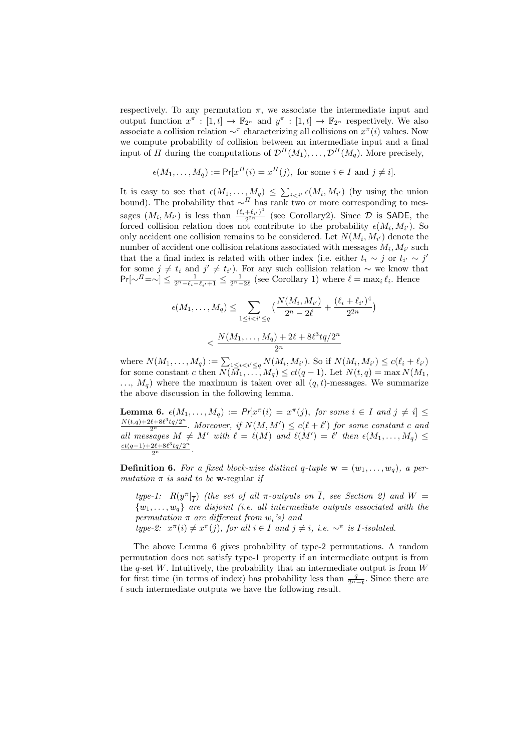respectively. To any permutation  $\pi$ , we associate the intermediate input and output function  $x^{\pi} : [1, t] \to \mathbb{F}_{2^n}$  and  $y^{\pi} : [1, t] \to \mathbb{F}_{2^n}$  respectively. We also associate a collision relation  $\sim^{\pi}$  characterizing all collisions on  $x^{\pi}(i)$  values. Now we compute probability of collision between an intermediate input and a final input of  $\Pi$  during the computations of  $\mathcal{D}^{H}(M_1), \ldots, \mathcal{D}^{H}(M_q)$ . More precisely,

$$
\epsilon(M_1,\ldots,M_q) := \Pr[x^{\Pi}(i) = x^{\Pi}(j), \text{ for some } i \in I \text{ and } j \neq i].
$$

It is easy to see that  $\epsilon(M_1,\ldots,M_q) \leq \sum_{i \leq i'} \epsilon(M_i,M_{i'})$  (by using the union bound). The probability that  $\sim$ <sup>*II*</sup> has rank two or more corresponding to messages  $(M_i, M_{i'})$  is less than  $\frac{(\ell_i + \ell_{i'})^4}{2^{2n}}$  $\frac{+e_{i'}-e_{i'}-e_{i'}-e_{i'}}{2^{2n}}$  (see Corollary2). Since  $\mathcal{D}$  is SADE, the forced collision relation does not contribute to the probability  $\epsilon(M_i, M_{i'})$ . So only accident one collision remains to be considered. Let  $N(M_i, M_{i'})$  denote the number of accident one collision relations associated with messages  $M_i, M_{i'}$  such that the a final index is related with other index (i.e. either  $t_i \sim j$  or  $t_{i'} \sim j'$ for some  $j \neq t_i$  and  $j' \neq t_{i'}$ ). For any such collision relation ∼ we know that  $Pr[\sim] \leq \frac{1}{2^n - \ell_i - \ell_{i'} + 1} \leq \frac{1}{2^n - 2\ell}$  (see Corollary 1) where  $\ell = \max_i \ell_i$ . Hence

$$
\epsilon(M_1, \dots, M_q) \le \sum_{1 \le i < i' \le q} \left( \frac{N(M_i, M_{i'})}{2^n - 2\ell} + \frac{(\ell_i + \ell_{i'})^4}{2^{2n}} \right)
$$
\n
$$
\le \frac{N(M_1, \dots, M_q) + 2\ell + 8\ell^3 t q/2^n}{2^n}
$$

where  $N(M_1, \ldots, M_q) := \sum_{1 \leq i < i' \leq q} N(M_i, M_{i'})$ . So if  $N(M_i, M_{i'}) \leq c(\ell_i + \ell_{i'})$ for some constant c then  $N(\bar{M}_1, \ldots, M_q) \le ct(q-1)$ . Let  $N(t,q) = \max N(M_1, \ldots, M_q)$  $..., M_q$ ) where the maximum is taken over all  $(q, t)$ -messages. We summarize the above discussion in the following lemma.

**Lemma 6.**  $\epsilon(M_1,\ldots,M_q) := Pr[x^{\pi}(i) = x^{\pi}(j), \text{ for some } i \in I \text{ and } j \neq i] \leq$  $\frac{N(t,q)+2\ell+8\ell^3tq/2^n}{2^n}$ . Moreover, if  $N(M, M') \leq c(\ell + \ell')$  for some constant c and all messages  $M \neq M'$  with  $\ell = \ell(M)$  and  $\ell(M') = \ell'$  then  $\epsilon(M_1, \ldots, M_q) \leq$  $\frac{ct(q-1)+2\ell+8\ell^3tq/2^n}{2^n}.$ 

**Definition 6.** For a fixed block-wise distinct q-tuple  $\mathbf{w} = (w_1, \ldots, w_q)$ , a permutation  $\pi$  is said to be w-regular if

type-1:  $R(y^{\pi}|\overline{f})$  (the set of all  $\pi$ -outputs on  $\overline{I}$ , see Section 2) and  $W =$  ${w_1, \ldots, w_q}$  are disjoint (i.e. all intermediate outputs associated with the permutation  $\pi$  are different from  $w_i$ 's) and

type-2:  $x^{\pi}(i) \neq x^{\pi}(j)$ , for all  $i \in I$  and  $j \neq i$ , i.e.  $\sim^{\pi}$  is *I*-isolated.

The above Lemma 6 gives probability of type-2 permutations. A random permutation does not satisfy type-1 property if an intermediate output is from the q-set  $W$ . Intuitively, the probability that an intermediate output is from  $W$ for first time (in terms of index) has probability less than  $\frac{q}{2^{n}-t}$ . Since there are t such intermediate outputs we have the following result.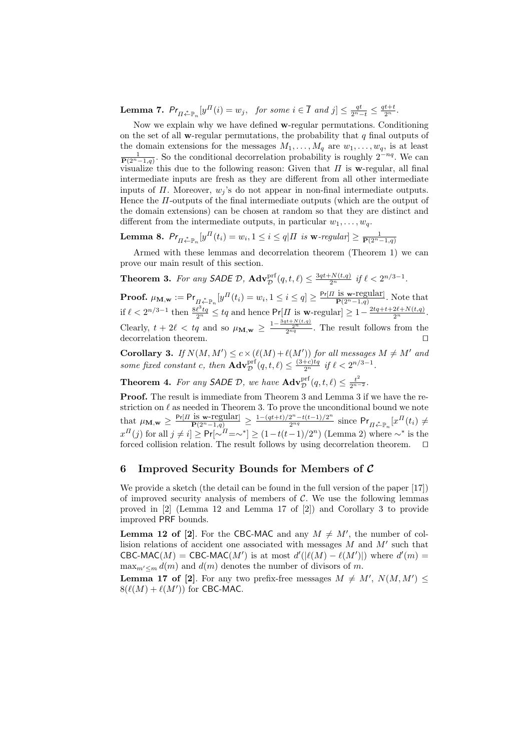**Lemma 7.**  $Pr_{\Pi \stackrel{*}{\leftarrow} \mathbb{P}_n} [y^{\Pi}(i) = w_j, \text{ for some } i \in \overline{I} \text{ and } j] \leq \frac{qt}{2^n-t} \leq \frac{qt+t}{2^n}.$ 

Now we explain why we have defined w-regular permutations. Conditioning on the set of all **w**-regular permutations, the probability that  $q$  final outputs of the domain extensions for the messages  $M_1, \ldots, M_q$  are  $w_1, \ldots, w_q$ , is at least  $\frac{1}{\mathbf{P}(2^{n}-1,q)}$ . So the conditional decorrelation probability is roughly  $2^{-nq}$ . We can visualize this due to the following reason: Given that  $\Pi$  is w-regular, all final intermediate inputs are fresh as they are different from all other intermediate inputs of  $\Pi$ . Moreover,  $w_j$ 's do not appear in non-final intermediate outputs. Hence the  $\Pi$ -outputs of the final intermediate outputs (which are the output of the domain extensions) can be chosen at random so that they are distinct and different from the intermediate outputs, in particular  $w_1, \ldots, w_q$ .

**Lemma 8.**  $Pr_{\Pi \stackrel{*}{\leftarrow} \mathbb{P}_n}[y^{\Pi}(t_i) = w_i, 1 \leq i \leq q | \Pi \text{ is } \mathbf{w}\text{-}regular] \geq \frac{1}{\mathbf{P}(2^n-1,q)}$ 

Armed with these lemmas and decorrelation theorem (Theorem 1) we can prove our main result of this section.

**Theorem 3.** For any SADE D,  $\mathbf{Adv}_{\mathcal{D}}^{\text{prf}}(q, t, \ell) \leq \frac{3qt + N(t, q)}{2^n}$  if  $\ell < 2^{n/3 - 1}$ .

**Proof.**  $\mu_{\mathbf{M}, \mathbf{w}} := \mathsf{Pr}_{\Pi \stackrel{*}{\leftarrow} \mathbb{P}_n} [y^{\Pi}(t_i) = w_i, 1 \leq i \leq q] \geq \frac{\mathsf{Pr}[\Pi \text{ is } \mathbf{w}\text{-regular}]}{\mathbf{P}(2^n-1,q)}$ . Note that if  $\ell < 2^{n/3-1}$  then  $\frac{8\ell^3tq}{2^n} \leq tq$  and hence  $Pr[II]$  is  $\mathbf{w}$ -regular $] \geq 1-\frac{2tq+t+2\ell+N(t,q)}{2^n}$ . Clearly,  $t + 2\ell < tq$  and so  $\mu_{\mathbf{M},\mathbf{w}} \geq \frac{1-\frac{3qt+N(t,q)}{2^nq}}{2n^q}$ . The result follows from the decorrelation theorem.

**Corollary 3.** If  $N(M, M') \leq c \times (\ell(M) + \ell(M'))$  for all messages  $M \neq M'$  and some fixed constant c, then  $\mathbf{Adv}_{\mathcal{D}}^{\text{prf}}(q, t, \ell) \leq \frac{(3+c)tq}{2^n}$  if  $\ell < 2^{n/3-1}$ .

**Theorem 4.** For any **SADE**  $\mathcal{D}$ , we have  $\mathbf{Adv}_{\mathcal{D}}^{\text{prf}}(q, t, \ell) \leq \frac{t^2}{2^{n-2}}$ .

Proof. The result is immediate from Theorem 3 and Lemma 3 if we have the restriction on  $\ell$  as needed in Theorem 3. To prove the unconditional bound we note that  $\mu_{\mathbf{M},\mathbf{w}} \geq \frac{\Pr[\Pi \text{ is } \mathbf{w}\text{-regular}]}{\Pr(\mathbb{P}^{n-1},q)} \geq \frac{1-(qt+t)/2^n - t(t-1)/2^n}{2^{nq}}$  since  $\Pr_{\Pi \stackrel{\ast}{\leftarrow} \mathbb{P}_n}[x^{\Pi}(t_i) \neq$  $x^{\Pi}(j)$  for all  $j \neq i$  ≥  $Pr[\sim^{\Pi}=\sim^*] \ge (1-t(t-1)/2^n)$  (Lemma 2) where  $\sim^*$  is the forced collision relation. The result follows by using decorrelation theorem.  $\square$ 

### 6 Improved Security Bounds for Members of  $C$

We provide a sketch (the detail can be found in the full version of the paper [17]) of improved security analysis of members of  $C$ . We use the following lemmas proved in [2] (Lemma 12 and Lemma 17 of [2]) and Corollary 3 to provide improved PRF bounds.

**Lemma 12 of [2].** For the CBC-MAC and any  $M \neq M'$ , the number of collision relations of accident one associated with messages  $M$  and  $M'$  such that CBC-MAC(M) = CBC-MAC(M') is at most  $d'(|\ell(M) - \ell(M')|)$  where  $d'(m) =$  $\max_{m' < m} d(m)$  and  $d(m)$  denotes the number of divisors of m.

**Lemma 17 of [2]**. For any two prefix-free messages  $M \neq M'$ ,  $N(M, M') \leq$  $8(\ell(M) + \ell(M'))$  for CBC-MAC.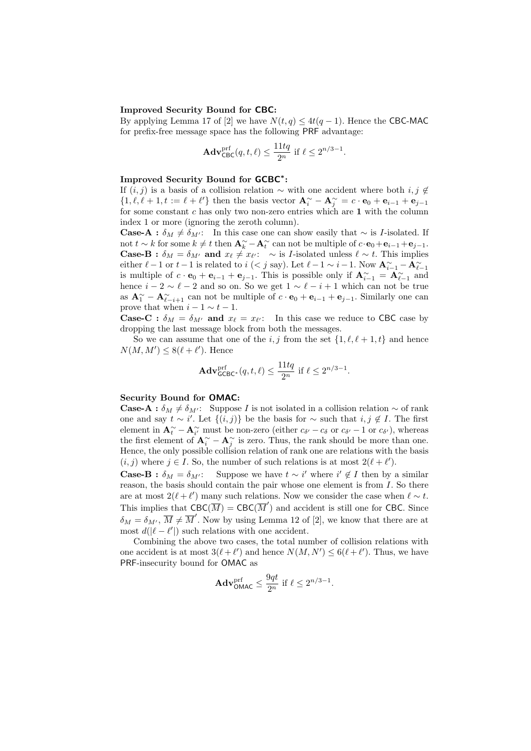#### Improved Security Bound for CBC:

By applying Lemma 17 of [2] we have  $N(t, q) \leq 4t(q - 1)$ . Hence the CBC-MAC for prefix-free message space has the following PRF advantage:

$$
\mathbf{Adv}_{\mathsf{CBC}}^{\text{prf}}(q, t, \ell) \le \frac{11tq}{2^n} \text{ if } \ell \le 2^{n/3 - 1}.
$$

# Improved Security Bound for GCBC<sup>\*</sup>:

If  $(i, j)$  is a basis of a collision relation ∼ with one accident where both  $i, j \notin \mathbb{Z}$  $\{1, \ell, \ell+1, t := \ell+\ell'\}$  then the basis vector  $\mathbf{A}^{\sim}_i - \mathbf{A}^{\sim}_j = c \cdot \mathbf{e}_0 + \mathbf{e}_{i-1} + \mathbf{e}_{j-1}$ for some constant c has only two non-zero entries which are 1 with the column index 1 or more (ignoring the zeroth column).

**Case-A** :  $\delta_M \neq \delta_{M'}$ : In this case one can show easily that  $\sim$  is *I*-isolated. If not  $t \sim k$  for some  $k \neq t$  then  $\mathbf{A}_k^{\sim} - \mathbf{A}_t^{\sim}$  can not be multiple of  $c \cdot \mathbf{e}_0 + \mathbf{e}_{i-1} + \mathbf{e}_{j-1}$ . **Case-B** :  $\delta_M = \delta_{M'}$  and  $x_\ell \neq x_{\ell'}$ : ∼ is *I*-isolated unless  $\ell \sim t$ . This implies either  $\ell - 1$  or  $t - 1$  is related to  $i$  ( $\lt j$  say). Let  $\ell - 1 \sim i - 1$ . Now  ${\bf A}_{i-1}^{\sim} - {\bf A}_{\ell-1}^{\sim}$ is multiple of  $c \cdot \mathbf{e}_0 + \mathbf{e}_{i-1} + \mathbf{e}_{j-1}$ . This is possible only if  $\mathbf{A}_{i-1}^{\sim} = \mathbf{A}_{i-1}^{\sim}$  and hence  $i - 2 \sim \ell - 2$  and so on. So we get  $1 \sim \ell - i + 1$  which can not be true as  $\mathbf{A}_{1}^{\sim} - \mathbf{A}_{\ell-i+1}^{\sim}$  can not be multiple of  $c \cdot \mathbf{e}_{0} + \mathbf{e}_{i-1} + \mathbf{e}_{j-1}$ . Similarly one can prove that when  $i - 1 \sim t - 1$ .

**Case-C**:  $\delta_M = \delta_{M'}$  and  $x_\ell = x_{\ell'}$ : In this case we reduce to CBC case by dropping the last message block from both the messages.

So we can assume that one of the i, j from the set  $\{1, \ell, \ell + 1, t\}$  and hence  $N(M, M') \leq 8(\ell + \ell')$ . Hence

$$
\mathbf{Adv}_{\mathsf{GCBC}^*}^{\text{prf}}(q, t, \ell) \le \frac{11tq}{2^n} \text{ if } \ell \le 2^{n/3 - 1}.
$$

#### Security Bound for OMAC:

**Case-A** :  $\delta_M \neq \delta_{M'}$ : Suppose I is not isolated in a collision relation ~ of rank one and say  $t \sim i'$ . Let  $\{(i, j)\}\$ be the basis for  $\sim$  such that  $i, j \notin I$ . The first element in  $\mathbf{A}^{\sim}_{t} - \mathbf{A}^{\sim}_{i'}$  must be non-zero (either  $c_{\delta'} - c_{\delta}$  or  $c_{\delta'} - 1$  or  $c_{\delta'}$ ), whereas the first element of  $\mathbf{A}^{\sim}_{i} - \mathbf{A}^{\sim}_{j}$  is zero. Thus, the rank should be more than one. Hence, the only possible collision relation of rank one are relations with the basis  $(i, j)$  where  $j \in I$ . So, the number of such relations is at most  $2(\ell + \ell')$ .

**Case-B** :  $\delta_M = \delta_{M'}$ : Suppose we have  $t \sim i'$  where  $i' \notin I$  then by a similar reason, the basis should contain the pair whose one element is from I. So there are at most  $2(\ell + \ell')$  many such relations. Now we consider the case when  $\ell \sim t$ . This implies that  $CBC(\overline{M}) = CBC(\overline{M}')$  and accident is still one for CBC. Since  $\delta_M = \delta_{M'}$ ,  $\overline{M} \neq \overline{M}'$ . Now by using Lemma 12 of [2], we know that there are at most  $d(|\ell - \ell'|)$  such relations with one accident.

Combining the above two cases, the total number of collision relations with one accident is at most  $3(\ell + \ell')$  and hence  $N(M, N') \leq 6(\ell + \ell')$ . Thus, we have PRF-insecurity bound for OMAC as

$$
\mathbf{Adv}_{\mathsf{OMAC}}^{\text{prf}} \le \frac{9qt}{2^n} \text{ if } \ell \le 2^{n/3-1}.
$$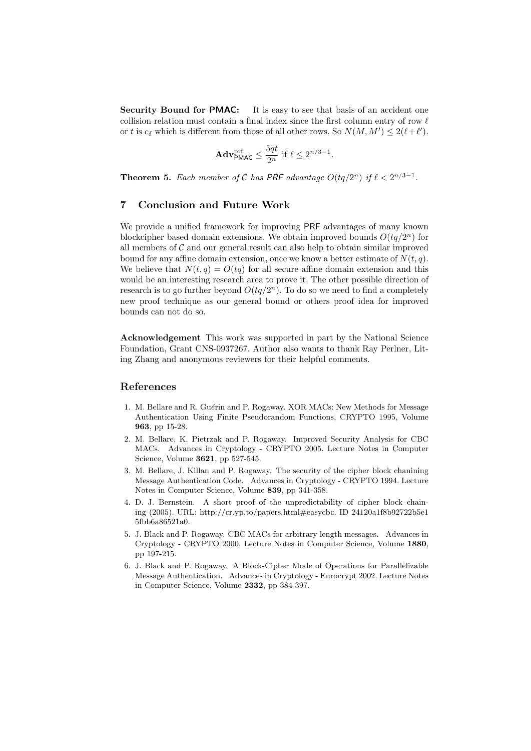Security Bound for PMAC: It is easy to see that basis of an accident one collision relation must contain a final index since the first column entry of row  $\ell$ or t is  $c_{\delta}$  which is different from those of all other rows. So  $N(M, M') \leq 2(\ell + \ell')$ .

$$
\mathbf{Adv}_{\mathsf{PMAC}}^{\mathrm{prf}} \le \frac{5qt}{2^n} \text{ if } \ell \le 2^{n/3-1}.
$$

**Theorem 5.** Each member of C has PRF advantage  $O(tq/2^n)$  if  $\ell < 2^{n/3-1}$ .

## 7 Conclusion and Future Work

We provide a unified framework for improving PRF advantages of many known blockcipher based domain extensions. We obtain improved bounds  $O(tq/2^n)$  for all members of  $\mathcal C$  and our general result can also help to obtain similar improved bound for any affine domain extension, once we know a better estimate of  $N(t, q)$ . We believe that  $N(t, q) = O(tq)$  for all secure affine domain extension and this would be an interesting research area to prove it. The other possible direction of research is to go further beyond  $O(tq/2^n)$ . To do so we need to find a completely new proof technique as our general bound or others proof idea for improved bounds can not do so.

Acknowledgement This work was supported in part by the National Science Foundation, Grant CNS-0937267. Author also wants to thank Ray Perlner, Liting Zhang and anonymous reviewers for their helpful comments.

## References

- 1. M. Bellare and R. Guérin and P. Rogaway. XOR MACs: New Methods for Message Authentication Using Finite Pseudorandom Functions, CRYPTO 1995, Volume 963, pp 15-28.
- 2. M. Bellare, K. Pietrzak and P. Rogaway. Improved Security Analysis for CBC MACs. Advances in Cryptology - CRYPTO 2005. Lecture Notes in Computer Science, Volume 3621, pp 527-545.
- 3. M. Bellare, J. Killan and P. Rogaway. The security of the cipher block chanining Message Authentication Code. Advances in Cryptology - CRYPTO 1994. Lecture Notes in Computer Science, Volume 839, pp 341-358.
- 4. D. J. Bernstein. A short proof of the unpredictability of cipher block chaining (2005). URL: http://cr.yp.to/papers.html#easycbc. ID 24120a1f8b92722b5e1 5fbb6a86521a0.
- 5. J. Black and P. Rogaway. CBC MACs for arbitrary length messages. Advances in Cryptology - CRYPTO 2000. Lecture Notes in Computer Science, Volume 1880, pp 197-215.
- 6. J. Black and P. Rogaway. A Block-Cipher Mode of Operations for Parallelizable Message Authentication. Advances in Cryptology - Eurocrypt 2002. Lecture Notes in Computer Science, Volume 2332, pp 384-397.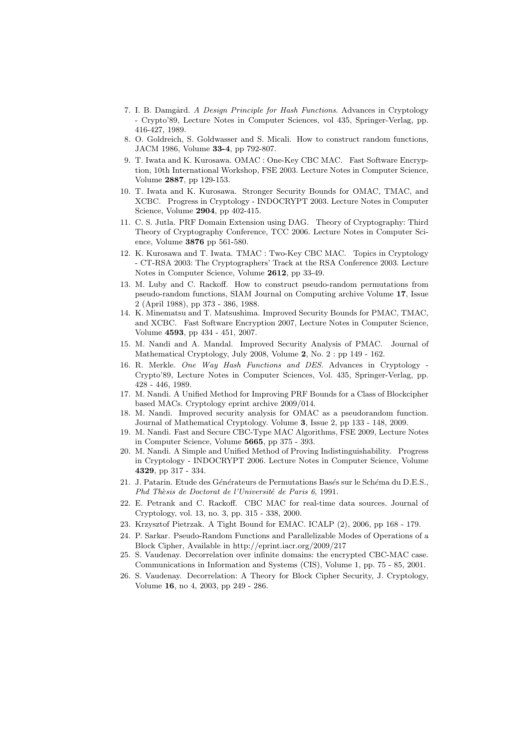- 7. I. B. Damgård. A Design Principle for Hash Functions. Advances in Cryptology - Crypto'89, Lecture Notes in Computer Sciences, vol 435, Springer-Verlag, pp. 416-427, 1989.
- 8. O. Goldreich, S. Goldwasser and S. Micali. How to construct random functions, JACM 1986, Volume 33-4, pp 792-807.
- 9. T. Iwata and K. Kurosawa. OMAC : One-Key CBC MAC. Fast Software Encryption, 10th International Workshop, FSE 2003. Lecture Notes in Computer Science, Volume 2887, pp 129-153.
- 10. T. Iwata and K. Kurosawa. Stronger Security Bounds for OMAC, TMAC, and XCBC. Progress in Cryptology - INDOCRYPT 2003. Lecture Notes in Computer Science, Volume 2904, pp 402-415.
- 11. C. S. Jutla. PRF Domain Extension using DAG. Theory of Cryptography: Third Theory of Cryptography Conference, TCC 2006. Lecture Notes in Computer Science, Volume 3876 pp 561-580.
- 12. K. Kurosawa and T. Iwata. TMAC : Two-Key CBC MAC. Topics in Cryptology - CT-RSA 2003: The Cryptographers' Track at the RSA Conference 2003. Lecture Notes in Computer Science, Volume 2612, pp 33-49.
- 13. M. Luby and C. Rackoff. How to construct pseudo-random permutations from pseudo-random functions, SIAM Journal on Computing archive Volume 17, Issue 2 (April 1988), pp 373 - 386, 1988.
- 14. K. Minematsu and T. Matsushima. Improved Security Bounds for PMAC, TMAC, and XCBC. Fast Software Encryption 2007, Lecture Notes in Computer Science, Volume 4593, pp 434 - 451, 2007.
- 15. M. Nandi and A. Mandal. Improved Security Analysis of PMAC. Journal of Mathematical Cryptology, July 2008, Volume 2, No. 2 : pp 149 - 162.
- 16. R. Merkle. One Way Hash Functions and DES. Advances in Cryptology Crypto'89, Lecture Notes in Computer Sciences, Vol. 435, Springer-Verlag, pp. 428 - 446, 1989.
- 17. M. Nandi. A Unified Method for Improving PRF Bounds for a Class of Blockcipher based MACs. Cryptology eprint archive 2009/014.
- 18. M. Nandi. Improved security analysis for OMAC as a pseudorandom function. Journal of Mathematical Cryptology. Volume 3, Issue 2, pp 133 - 148, 2009.
- 19. M. Nandi. Fast and Secure CBC-Type MAC Algorithms, FSE 2009, Lecture Notes in Computer Science, Volume 5665, pp 375 - 393.
- 20. M. Nandi. A Simple and Unified Method of Proving Indistinguishability. Progress in Cryptology - INDOCRYPT 2006. Lecture Notes in Computer Science, Volume 4329, pp 317 - 334.
- 21. J. Patarin. Etude des Générateurs de Permutations Basés sur le Schéma du D.E.S., Phd Thèsis de Doctorat de l'Université de Paris 6, 1991.
- 22. E. Petrank and C. Rackoff. CBC MAC for real-time data sources. Journal of Cryptology, vol. 13, no. 3, pp. 315 - 338, 2000.
- 23. Krzysztof Pietrzak. A Tight Bound for EMAC. ICALP (2), 2006, pp 168 179.
- 24. P. Sarkar. Pseudo-Random Functions and Parallelizable Modes of Operations of a Block Cipher, Available in http://eprint.iacr.org/2009/217
- 25. S. Vaudenay. Decorrelation over infinite domains: the encrypted CBC-MAC case. Communications in Information and Systems (CIS), Volume 1, pp. 75 - 85, 2001.
- 26. S. Vaudenay. Decorrelation: A Theory for Block Cipher Security, J. Cryptology, Volume 16, no 4, 2003, pp 249 - 286.